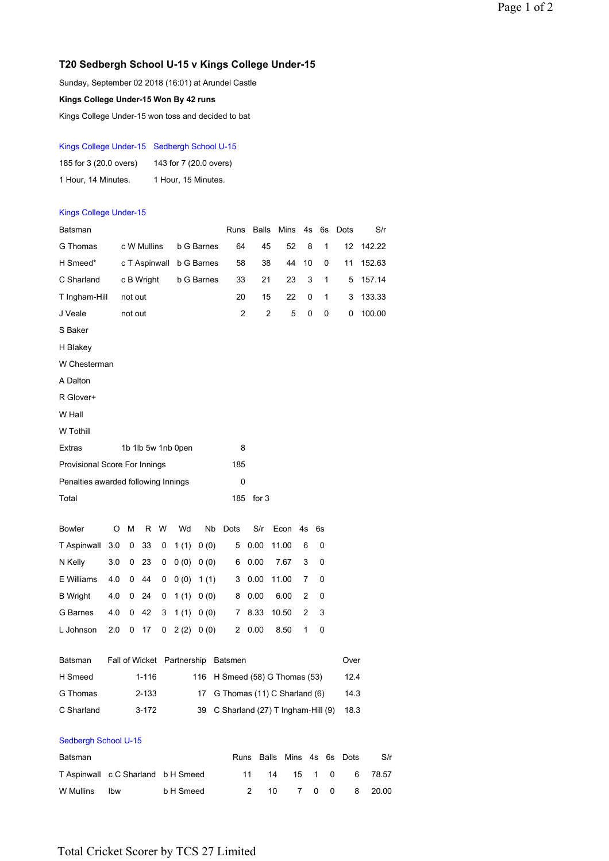## **T20 Sedbergh School U-15 v Kings College Under-15**

Sunday, September 02 2018 (16:01) at Arundel Castle

**Kings College Under-15 Won By 42 runs**

Kings College Under-15 won toss and decided to bat

### Kings College Under-15 Sedbergh School U-15

| 185 for 3 (20.0 overs) | 143 for 7 (20.0 overs) |  |  |  |  |  |  |
|------------------------|------------------------|--|--|--|--|--|--|
| 1 Hour, 14 Minutes.    | 1 Hour, 15 Minutes.    |  |  |  |  |  |  |

### Kings College Under-15

| Batsman                             |                                    |                    |               |   |                            |                   | Runs    | <b>Balls</b>                      | Mins         | 4s         |    | 6s | Dots | S/r    |
|-------------------------------------|------------------------------------|--------------------|---------------|---|----------------------------|-------------------|---------|-----------------------------------|--------------|------------|----|----|------|--------|
| G Thomas                            |                                    |                    | c W Mullins   |   |                            | b G Barnes        | 64      | 45                                | 52           |            | 8  | 1  | 12   | 142.22 |
| H Smeed*                            |                                    |                    | c T Aspinwall |   |                            | b G Barnes        | 58      |                                   | 38<br>44     | 10         |    | 0  | 11   | 152.63 |
| C Sharland                          |                                    |                    | c B Wright    |   |                            | <b>b</b> G Barnes | 33      | 21                                | 23           |            | 3  | 1  | 5    | 157.14 |
| T Ingham-Hill                       |                                    | not out            |               |   |                            |                   | 20      |                                   | 22<br>15     |            | 0  | 1  | 3    | 133.33 |
| J Veale                             |                                    | not out            |               |   |                            |                   | 2       |                                   | 2            | 5          | 0  | 0  | 0    | 100.00 |
| S Baker                             |                                    |                    |               |   |                            |                   |         |                                   |              |            |    |    |      |        |
| H Blakey                            |                                    |                    |               |   |                            |                   |         |                                   |              |            |    |    |      |        |
| W Chesterman                        |                                    |                    |               |   |                            |                   |         |                                   |              |            |    |    |      |        |
| A Dalton                            |                                    |                    |               |   |                            |                   |         |                                   |              |            |    |    |      |        |
| R Glover+                           |                                    |                    |               |   |                            |                   |         |                                   |              |            |    |    |      |        |
| W Hall                              |                                    |                    |               |   |                            |                   |         |                                   |              |            |    |    |      |        |
| W Tothill                           |                                    |                    |               |   |                            |                   |         |                                   |              |            |    |    |      |        |
| Extras                              |                                    | 1b 1lb 5w 1nb 0pen |               |   |                            |                   |         | 8                                 |              |            |    |    |      |        |
| Provisional Score For Innings       |                                    | 185                |               |   |                            |                   |         |                                   |              |            |    |    |      |        |
| Penalties awarded following Innings |                                    |                    |               |   |                            |                   | 0       |                                   |              |            |    |    |      |        |
| Total                               |                                    |                    |               |   |                            |                   | 185     | for $3$                           |              |            |    |    |      |        |
|                                     |                                    |                    |               |   |                            |                   |         |                                   |              |            |    |    |      |        |
| <b>Bowler</b>                       | O                                  | М                  | R             | W | Wd                         | Nb                | Dots    | S/r                               | Econ         | 4s         | 6s |    |      |        |
| T Aspinwall                         | 3.0                                | 0                  | 33            | 0 | 1(1)                       | 0(0)              | 5       | 0.00                              | 11.00        | 6          |    | 0  |      |        |
| N Kelly                             | 3.0                                | 0                  | 23            | 0 | 0(0)                       | 0(0)              | 6       | 0.00                              | 7.67         | 3          |    | 0  |      |        |
| E Williams                          | 4.0                                | 0                  | 44            | 0 | 0(0)                       | 1(1)              | 3       | 0.00                              | 11.00        | 7          |    | 0  |      |        |
| <b>B</b> Wright                     | 4.0                                | 0                  | 24            | 0 | 1(1)                       | 0(0)              | 8       | 0.00                              | 6.00         | 2          |    | 0  |      |        |
| G Barnes                            | 4.0                                | 0                  | 42            | 3 | 1(1)                       | 0(0)              | 7       | 8.33                              | 10.50        | 2          |    | 3  |      |        |
| L Johnson                           | 2.0                                | 0                  | 17            | 0 | 2(2)                       | 0(0)              | $^{2}$  | 0.00                              | 8.50         | 1          |    | 0  |      |        |
| Batsman                             |                                    |                    |               |   | Fall of Wicket Partnership |                   | Batsmen |                                   |              |            |    |    | Over |        |
| H Smeed                             |                                    | 1-116<br>116       |               |   |                            |                   |         | H Smeed (58) G Thomas (53)        |              |            |    |    |      | 12.4   |
| G Thomas                            |                                    | 2-133<br>17        |               |   |                            |                   |         | G Thomas (11) C Sharland (6)      |              |            |    |    |      | 14.3   |
| C Sharland                          |                                    | 39<br>$3-172$      |               |   |                            |                   |         | C Sharland (27) T Ingham-Hill (9) |              |            |    |    |      | 18.3   |
|                                     |                                    |                    |               |   |                            |                   |         |                                   |              |            |    |    |      |        |
| Sedbergh School U-15                |                                    |                    |               |   |                            |                   |         |                                   |              |            |    |    |      |        |
| Batsman                             |                                    |                    |               |   |                            |                   | Runs    |                                   | <b>Balls</b> | Mins 4s 6s |    |    | Dots | S/r    |
|                                     | T Aspinwall c C Sharland b H Smeed |                    |               |   |                            |                   |         | 11                                | 14           | 15         | 1  | 0  | 6    | 78.57  |

W Mullins lbw b H Smeed 2 10 7 0 0 8 20.00

# Total Cricket Scorer by TCS 27 Limited